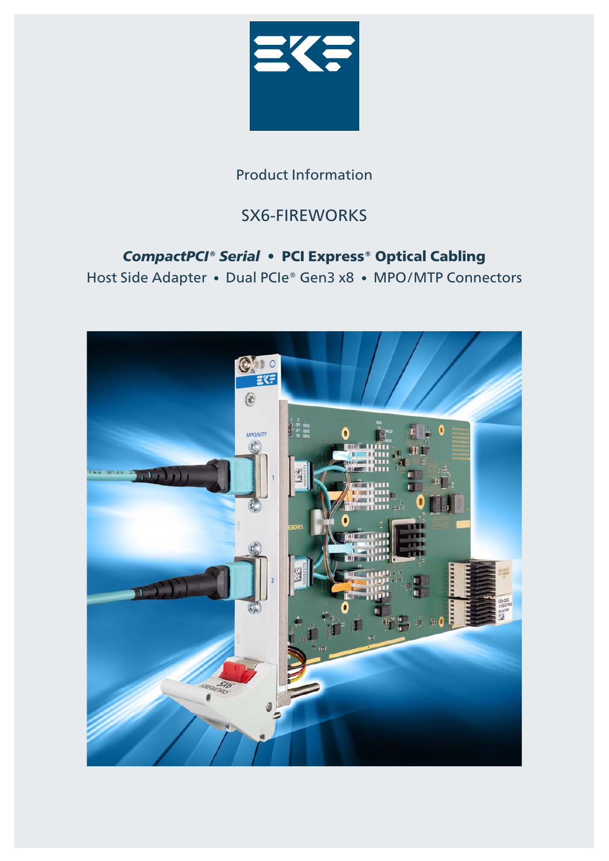

Product Information

## SX6-FIREWORKS

### CompactPCI® Serial • PCI Express® Optical Cabling

Host Side Adapter • Dual PCIe® Gen3 x8 • MPO/MTP Connectors

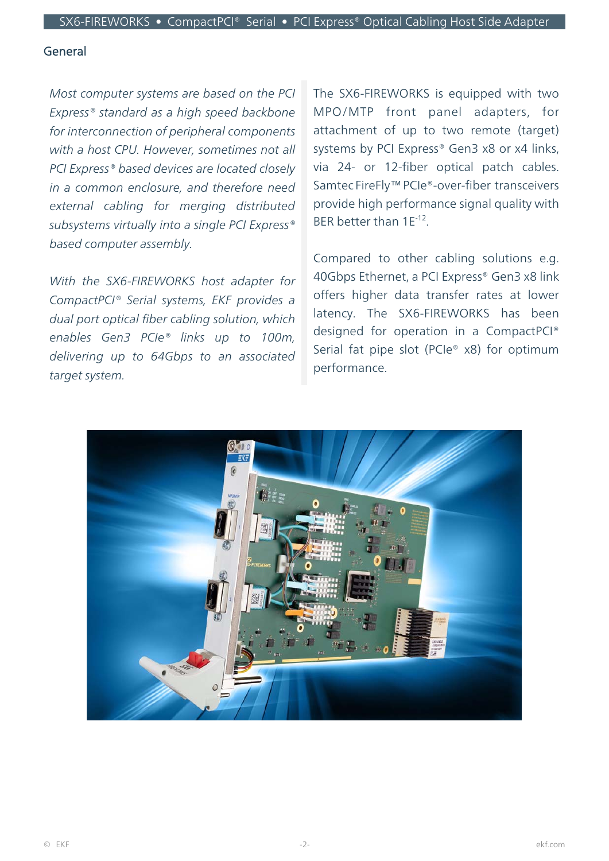#### General

Most computer systems are based on the PCI Express® standard as a high speed backbone for interconnection of peripheral components with a host CPU. However, sometimes not all PCI Express® based devices are located closely in a common enclosure, and therefore need external cabling for merging distributed subsystems virtually into a single PCI Express<sup>®</sup> based computer assembly.

With the SX6-FIREWORKS host adapter for CompactPCI® Serial systems, EKF provides a dual port optical fiber cabling solution, which enables Gen3 PCIe® links up to 100m, delivering up to 64Gbps to an associated target system.

The SX6-FIREWORKS is equipped with two MPO/MTP front panel adapters, for attachment of up to two remote (target) systems by PCI Express® Gen3 x8 or x4 links, via 24- or 12-fiber optical patch cables. Samtec FireFly™ PCIe®-over-fiber transceivers provide high performance signal quality with BER better than 1E<sup>-12</sup>.

Compared to other cabling solutions e.g. 40Gbps Ethernet, a PCI Express® Gen3 x8 link offers higher data transfer rates at lower latency. The SX6-FIREWORKS has been designed for operation in a CompactPCI® Serial fat pipe slot (PCIe® x8) for optimum performance.

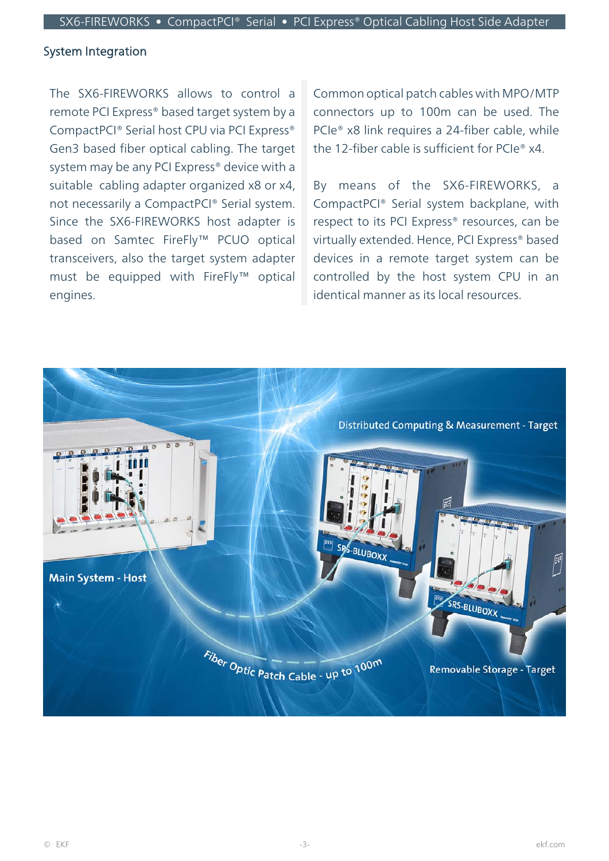#### System Integration

The SX6-FIREWORKS allows to control a remote PCI Express® based target system by a CompactPCI® Serial host CPU via PCI Express® Gen3 based fiber optical cabling. The target system may be any PCI Express<sup>®</sup> device with a suitable cabling adapter organized x8 or x4, not necessarily a CompactPCI® Serial system. Since the SX6-FIREWORKS host adapter is based on Samtec FireFly™ PCUO optical transceivers, also the target system adapter must be equipped with FireFly™ optical engines.

Common optical patch cables with MPO/MTP connectors up to 100m can be used. The PCIe® x8 link requires a 24-fiber cable, while the 12-fiber cable is sufficient for PCIe® x4.

By means of the SX6-FIREWORKS, a CompactPCI® Serial system backplane, with respect to its PCI Express® resources, can be virtually extended. Hence, PCI Express® based devices in a remote target system can be controlled by the host system CPU in an identical manner as its local resources.

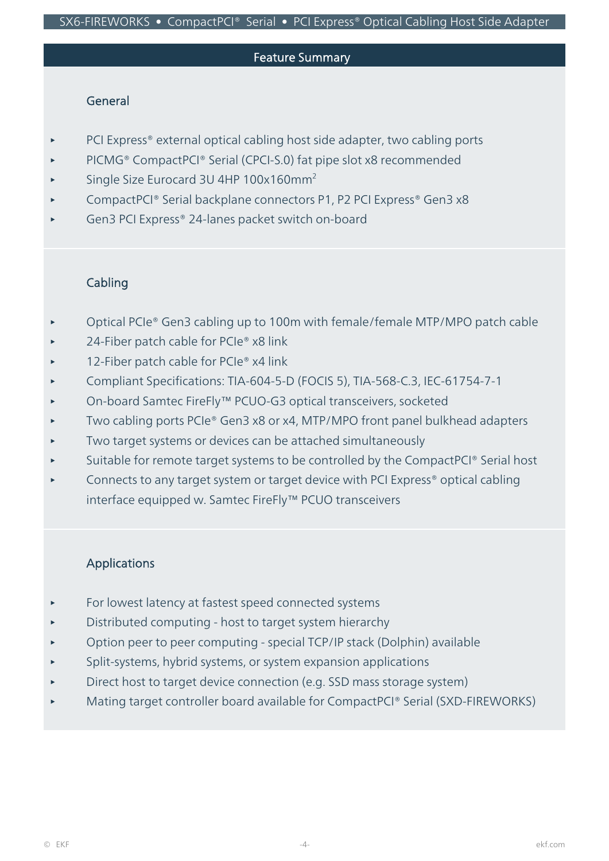#### Feature Summary

#### General

- ► PCI Express<sup>®</sup> external optical cabling host side adapter, two cabling ports
- < PICMG® CompactPCI® Serial (CPCI-S.0) fat pipe slot x8 recommended
- Single Size Eurocard 3U 4HP 100x160mm<sup>2</sup>
- < CompactPCI® Serial backplane connectors P1, P2 PCI Express® Gen3 x8
- Gen3 PCI Express<sup>®</sup> 24-lanes packet switch on-board

#### Cabling

- ▶ Optical PCIe® Gen3 cabling up to 100m with female/female MTP/MPO patch cable
- $\blacktriangleright$  24-Fiber patch cable for PCIe® x8 link
- 12-Fiber patch cable for PCIe® x4 link
- < Compliant Specifications: TIA-604-5-D (FOCIS 5), TIA-568-C.3, IEC-61754-7-1
- < On-board Samtec FireFly™ PCUO-G3 optical transceivers, socketed
- Two cabling ports PCIe® Gen3 x8 or x4, MTP/MPO front panel bulkhead adapters
- Two target systems or devices can be attached simultaneously
- Suitable for remote target systems to be controlled by the CompactPCI® Serial host
- Connects to any target system or target device with PCI Express<sup>®</sup> optical cabling interface equipped w. Samtec FireFly™ PCUO transceivers

#### Applications

- For lowest latency at fastest speed connected systems
- < Distributed computing host to target system hierarchy
- < Option peer to peer computing special TCP/IP stack (Dolphin) available
- < Split-systems, hybrid systems, or system expansion applications
- Direct host to target device connection (e.g. SSD mass storage system)
- ▶ Mating target controller board available for CompactPCI® Serial (SXD-FIREWORKS)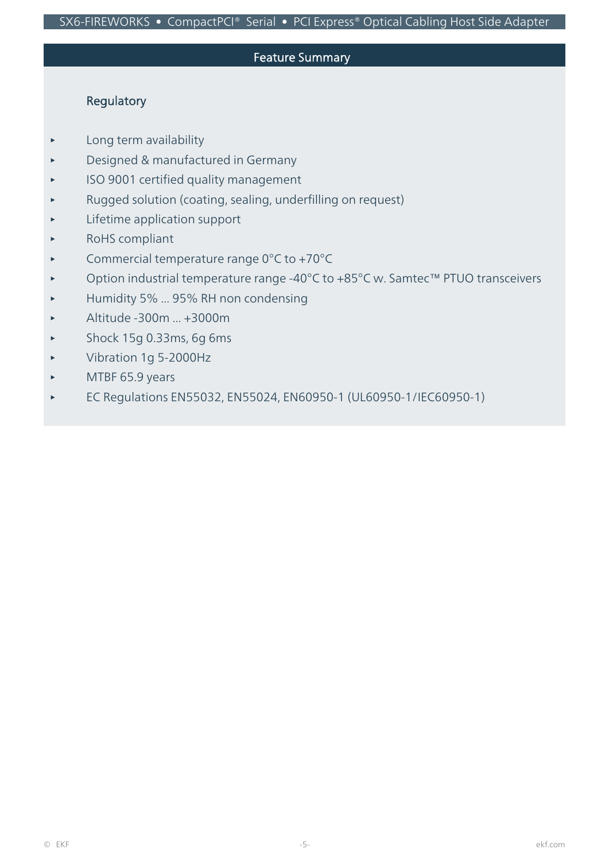#### Feature Summary

#### Regulatory

- **Long term availability**
- < Designed & manufactured in Germany
- < ISO 9001 certified quality management
- < Rugged solution (coating, sealing, underfilling on request)
- < Lifetime application support
- < RoHS compliant
- $\triangleright$  Commercial temperature range 0°C to +70°C
- **►** Option industrial temperature range -40°C to +85°C w. Samtec<sup>™</sup> PTUO transceivers
- < Humidity 5% ... 95% RH non condensing
- < Altitude -300m ... +3000m
- > Shock 15g 0.33ms, 6g 6ms
- < Vibration 1g 5-2000Hz
- MTBF 65.9 years
- ▶ EC Regulations EN55032, EN55024, EN60950-1 (UL60950-1/IEC60950-1)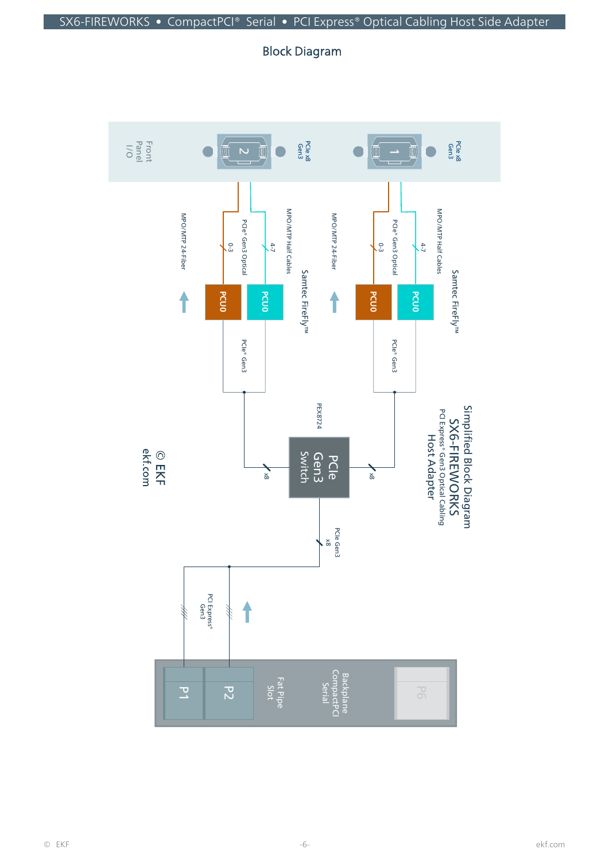Block Diagram

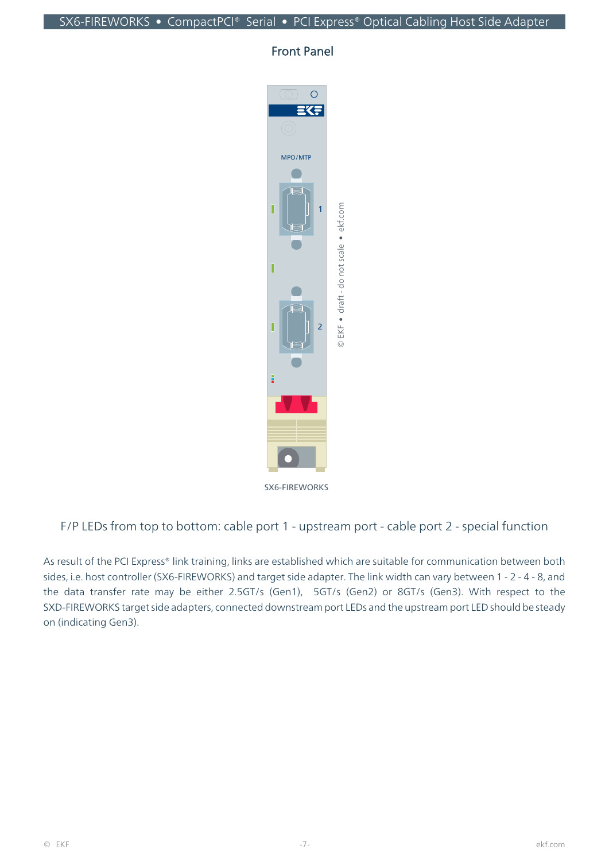#### Front Panel



F/P LEDs from top to bottom: cable port 1 - upstream port - cable port 2 - special function

As result of the PCI Express® link training, links are established which are suitable for communication between both sides, i.e. host controller (SX6-FIREWORKS) and target side adapter. The link width can vary between 1 - 2 - 4 - 8, and the data transfer rate may be either 2.5GT/s (Gen1), 5GT/s (Gen2) or 8GT/s (Gen3). With respect to the SXD-FIREWORKS target side adapters, connected downstream port LEDs and the upstream port LED should be steady on (indicating Gen3).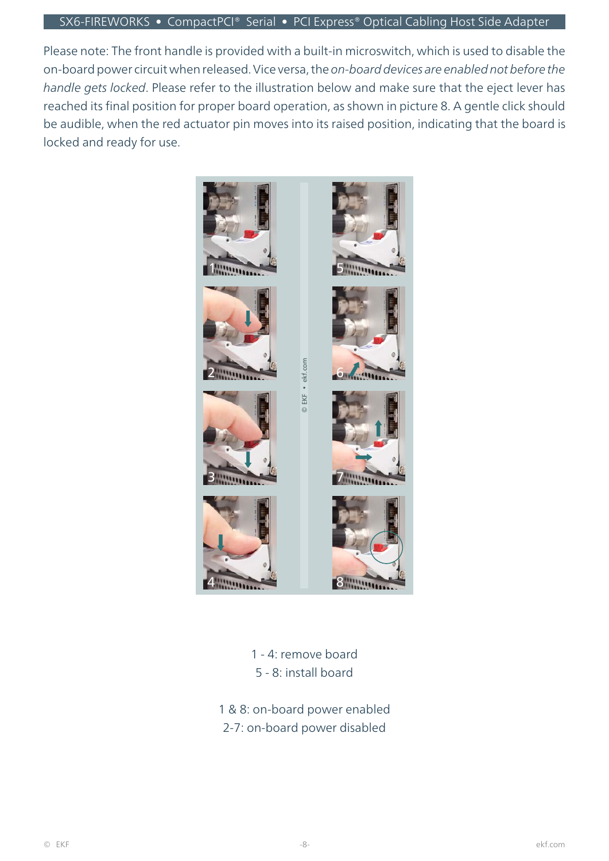#### SX6-FIREWORKS • CompactPCI® Serial • PCI Express® Optical Cabling Host Side Adapter

Please note: The front handle is provided with a built-in microswitch, which is used to disable the on-board power circuit when released. Vice versa, the on-board devices are enabled not before the handle gets locked. Please refer to the illustration below and make sure that the eject lever has reached its final position for proper board operation, as shown in picture 8. A gentle click should be audible, when the red actuator pin moves into its raised position, indicating that the board is locked and ready for use.



- 1 4: remove board 5 - 8: install board
- 1 & 8: on-board power enabled 2-7: on-board power disabled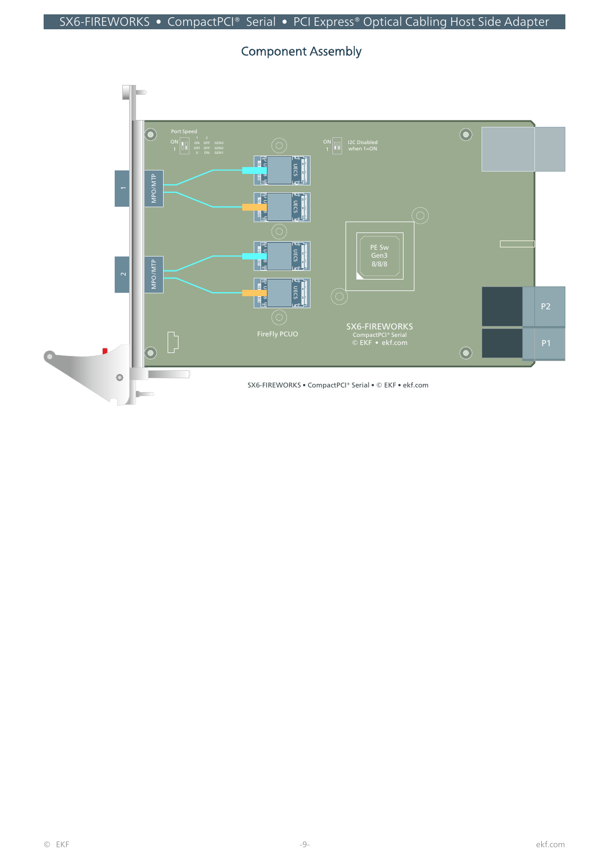Component Assembly

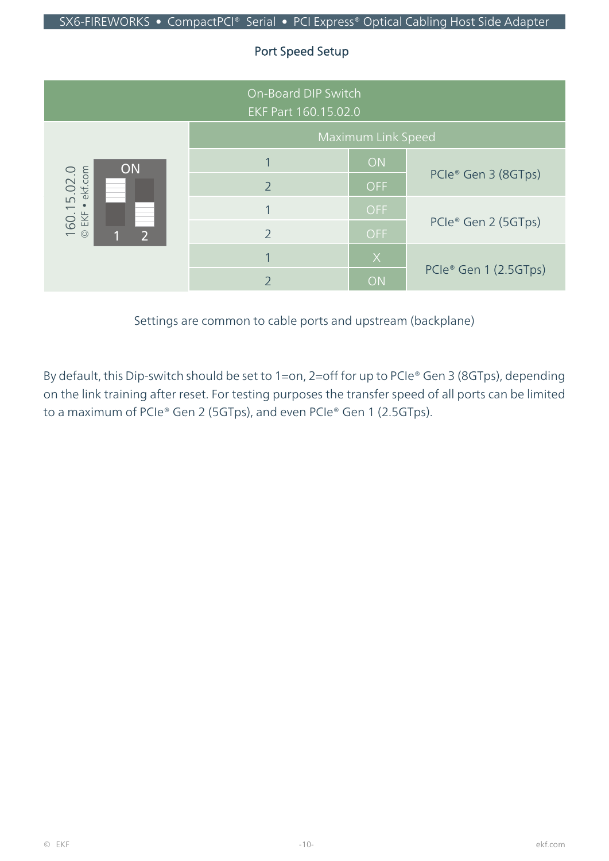#### Port Speed Setup

| On-Board DIP Switch<br>EKF Part 160.15.02.0               |                    |            |                                   |  |  |  |
|-----------------------------------------------------------|--------------------|------------|-----------------------------------|--|--|--|
| <b>ON</b><br>ekf.com<br>5.02.0<br>160.1<br>$\overline{2}$ | Maximum Link Speed |            |                                   |  |  |  |
|                                                           |                    | ON         |                                   |  |  |  |
|                                                           | $\overline{2}$     | <b>OFF</b> | PCIe <sup>®</sup> Gen 3 (8GTps)   |  |  |  |
|                                                           |                    | <b>OFF</b> |                                   |  |  |  |
|                                                           | $\mathcal{L}$      | <b>OFF</b> | PCIe <sup>®</sup> Gen 2 (5GTps)   |  |  |  |
|                                                           |                    | X          |                                   |  |  |  |
|                                                           |                    | ON         | PCIe <sup>®</sup> Gen 1 (2.5GTps) |  |  |  |

Settings are common to cable ports and upstream (backplane)

By default, this Dip-switch should be set to 1=on, 2=off for up to PCIe® Gen 3 (8GTps), depending on the link training after reset. For testing purposes the transfer speed of all ports can be limited to a maximum of PCIe® Gen 2 (5GTps), and even PCIe® Gen 1 (2.5GTps).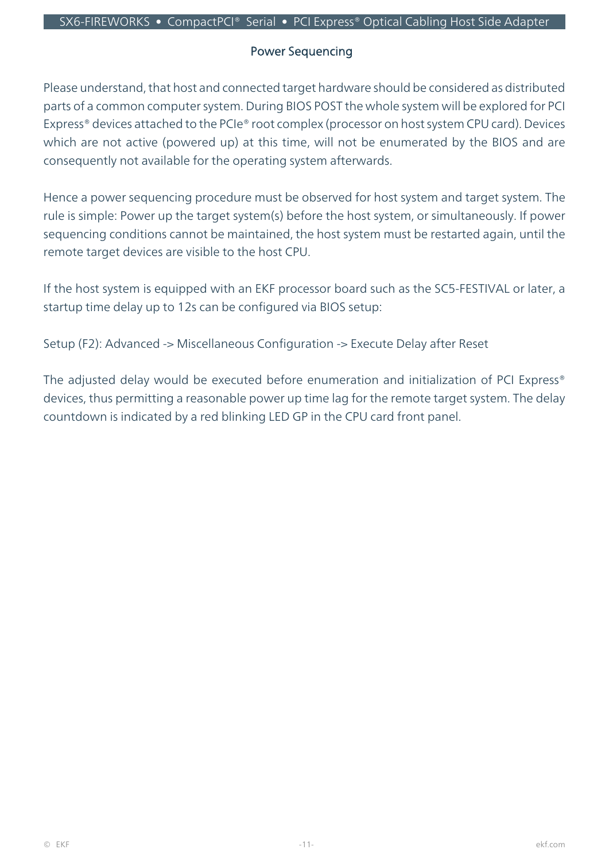#### Power Sequencing

Please understand, that host and connected target hardware should be considered as distributed parts of a common computer system. During BIOS POST the whole system will be explored for PCI Express® devices attached to the PCIe® root complex (processor on host system CPU card). Devices which are not active (powered up) at this time, will not be enumerated by the BIOS and are consequently not available for the operating system afterwards.

Hence a power sequencing procedure must be observed for host system and target system. The rule is simple: Power up the target system(s) before the host system, or simultaneously. If power sequencing conditions cannot be maintained, the host system must be restarted again, until the remote target devices are visible to the host CPU.

If the host system is equipped with an EKF processor board such as the SC5-FESTIVAL or later, a startup time delay up to 12s can be configured via BIOS setup:

Setup (F2): Advanced -> Miscellaneous Configuration -> Execute Delay after Reset

The adjusted delay would be executed before enumeration and initialization of PCI Express® devices, thus permitting a reasonable power up time lag for the remote target system. The delay countdown is indicated by a red blinking LED GP in the CPU card front panel.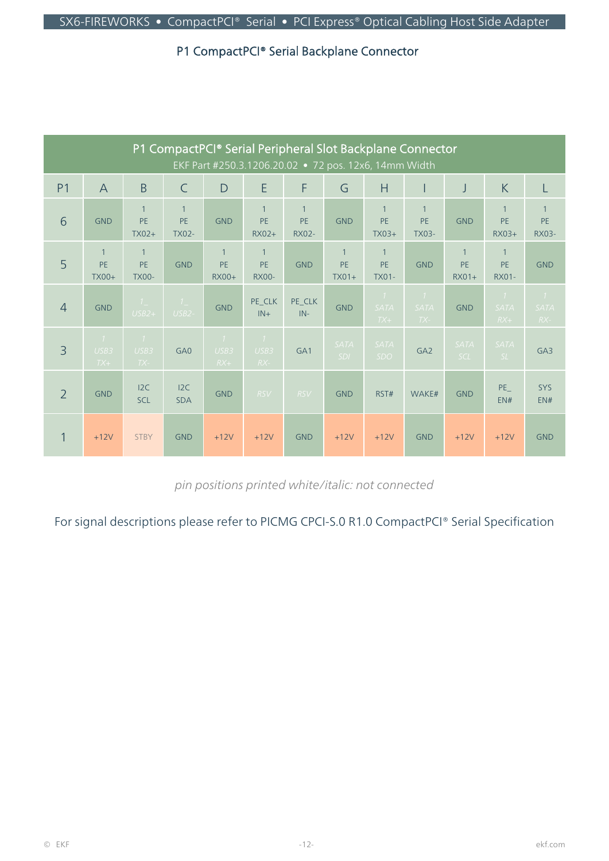P1 CompactPCI® Serial Backplane Connector

| P1 CompactPCI® Serial Peripheral Slot Backplane Connector<br>EKF Part #250.3.1206.20.02 • 72 pos. 12x6, 14mm Width |                                 |                                    |                                     |                                    |                                      |                                    |                               |                                        |                                    |                               |                                       |                                        |
|--------------------------------------------------------------------------------------------------------------------|---------------------------------|------------------------------------|-------------------------------------|------------------------------------|--------------------------------------|------------------------------------|-------------------------------|----------------------------------------|------------------------------------|-------------------------------|---------------------------------------|----------------------------------------|
| P <sub>1</sub>                                                                                                     | $\overline{A}$                  | B                                  | $\mathsf{C}$                        | D                                  | E                                    | F                                  | G                             | H                                      |                                    | J                             | K                                     | L                                      |
| 6                                                                                                                  | <b>GND</b>                      | $\mathbf{1}$<br>PE<br>$TX02+$      | 1<br>PE<br><b>TX02-</b>             | <b>GND</b>                         | $\mathbf{1}$<br>PE<br>$RX02+$        | $\mathbf{1}$<br>PE<br><b>RX02-</b> | <b>GND</b>                    | PE<br>$TX03+$                          | $\mathbf{1}$<br>PE<br><b>TX03-</b> | <b>GND</b>                    | 1<br>PE<br>$RX03+$                    | $\overline{1}$<br>PE<br><b>RX03-</b>   |
| 5                                                                                                                  | $\mathbf{1}$<br>PE<br>TX00+     | $\mathbf{1}$<br>PE<br><b>TX00-</b> | <b>GND</b>                          | $\mathbf{1}$<br><b>PE</b><br>RX00+ | $\overline{1}$<br>PE<br><b>RX00-</b> | <b>GND</b>                         | $\mathbf{1}$<br>PE<br>$TX01+$ | PE<br><b>TX01-</b>                     | <b>GND</b>                         | $\mathbf{1}$<br>PE<br>$RX01+$ | 1<br>PE<br><b>RX01-</b>               | <b>GND</b>                             |
| $\overline{4}$                                                                                                     | <b>GND</b>                      | $\mathcal{I}$<br>$USB2+$           | $\mathcal{I}$<br>USB <sub>2</sub> - | <b>GND</b>                         | PE CLK<br>$IN +$                     | PE CLK<br>$IN -$                   | <b>GND</b>                    | $\overline{1}$<br><b>SATA</b><br>$TX+$ | $\left  \right $<br>SATA<br>$TX-$  | <b>GND</b>                    | $\mathcal{I}$<br><b>SATA</b><br>$RX+$ | $\overline{1}$<br><b>SATA</b><br>$RX-$ |
| $\overline{3}$                                                                                                     | $\overline{1}$<br>USB3<br>$TX+$ | $\mathcal{I}$<br>USB3<br>$TX-$     | GA0                                 | $\mathcal{I}$<br>USB3<br>$RX+$     | $\overline{1}$<br>USB3<br>$RX-$      | GA <sub>1</sub>                    | <b>SATA</b><br>SDI            | SATA<br><b>SDO</b>                     | GA <sub>2</sub>                    | SATA<br>SCL                   | <b>SATA</b><br>SL                     | GA3                                    |
| $\overline{2}$                                                                                                     | <b>GND</b>                      | 12C<br><b>SCL</b>                  | 12C<br><b>SDA</b>                   | <b>GND</b>                         | <b>RSV</b>                           | <b>RSV</b>                         | <b>GND</b>                    | RST#                                   | WAKE#                              | <b>GND</b>                    | PE<br>EN#                             | SYS<br>EN#                             |
| 1                                                                                                                  | $+12V$                          | <b>STBY</b>                        | <b>GND</b>                          | $+12V$                             | $+12V$                               | <b>GND</b>                         | $+12V$                        | $+12V$                                 | <b>GND</b>                         | $+12V$                        | $+12V$                                | <b>GND</b>                             |

pin positions printed white/italic: not connected

For signal descriptions please refer to PICMG CPCI-S.0 R1.0 CompactPCI® Serial Specification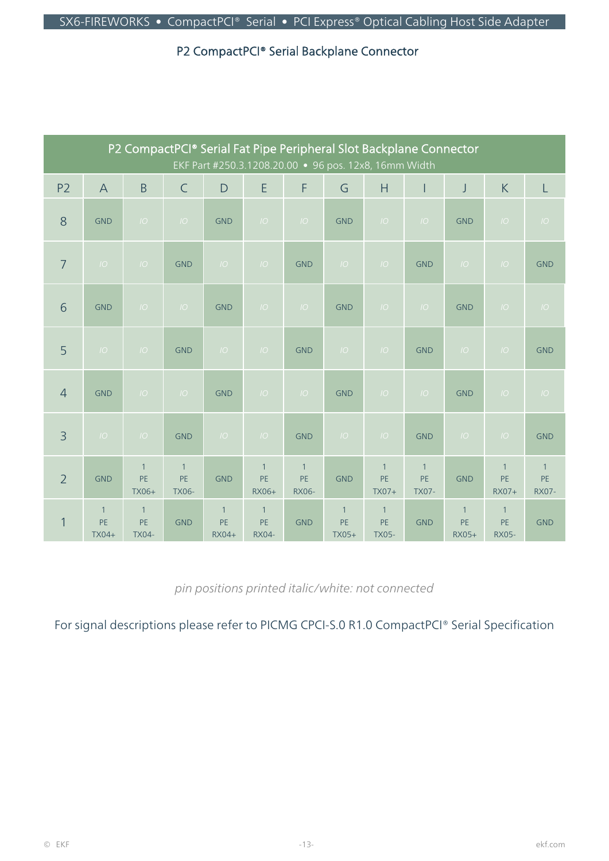P2 CompactPCI® Serial Backplane Connector

| P2 CompactPCI® Serial Fat Pipe Peripheral Slot Backplane Connector<br>EKF Part #250.3.1208.20.00 • 96 pos. 12x8, 16mm Width |                               |                             |                                    |                             |                             |                                    |                               |                                    |                                    |                             |                                    |                                    |
|-----------------------------------------------------------------------------------------------------------------------------|-------------------------------|-----------------------------|------------------------------------|-----------------------------|-----------------------------|------------------------------------|-------------------------------|------------------------------------|------------------------------------|-----------------------------|------------------------------------|------------------------------------|
| P <sub>2</sub>                                                                                                              | $\forall$                     | $\mathsf B$                 | $\mathsf C$                        | D                           | E                           | F                                  | G                             | H                                  | $\bigg $                           | J                           | $\sf K$                            | L                                  |
| 8                                                                                                                           | <b>GND</b>                    | IO                          | IO                                 | <b>GND</b>                  | IO                          | IO                                 | <b>GND</b>                    | IO                                 | IO                                 | <b>GND</b>                  | IO                                 | IO                                 |
| $\overline{7}$                                                                                                              | IO                            | IO                          | <b>GND</b>                         | IO                          | IO                          | <b>GND</b>                         | IO                            | IO                                 | <b>GND</b>                         | IO                          | IO                                 | <b>GND</b>                         |
| 6                                                                                                                           | <b>GND</b>                    | IO                          | IO                                 | <b>GND</b>                  | IO                          | IO                                 | <b>GND</b>                    | IO                                 | IO                                 | <b>GND</b>                  | IO                                 | IO                                 |
| 5                                                                                                                           | IO                            | IO                          | <b>GND</b>                         | IO                          | IO                          | <b>GND</b>                         | IO                            | IO                                 | <b>GND</b>                         | IO                          | IO                                 | <b>GND</b>                         |
| $\overline{4}$                                                                                                              | <b>GND</b>                    | IO                          | IO                                 | <b>GND</b>                  | IO                          | IO                                 | <b>GND</b>                    | IO                                 | IO                                 | <b>GND</b>                  | IO                                 | IO                                 |
| $\overline{3}$                                                                                                              | IO                            | IO                          | <b>GND</b>                         | IO                          | IO                          | <b>GND</b>                         | IO                            | IO                                 | <b>GND</b>                         | IO                          | IO                                 | <b>GND</b>                         |
| $\overline{2}$                                                                                                              | <b>GND</b>                    | $\mathbf{1}$<br>PE<br>TX06+ | $\mathbf{1}$<br>PE<br><b>TX06-</b> | <b>GND</b>                  | $\mathbf{1}$<br>PE<br>RX06+ | $\mathbf{1}$<br>PE<br><b>RX06-</b> | <b>GND</b>                    | $\mathbf{1}$<br>PE<br>$TX07+$      | $\mathbf{1}$<br>PE<br><b>TX07-</b> | <b>GND</b>                  | $\mathbf{1}$<br>PE<br>RX07+        | $\mathbf{1}$<br>PE<br><b>RX07-</b> |
| $\mathbf{1}$                                                                                                                | $\overline{1}$<br>PE<br>TX04+ | $\mathbf{1}$<br>PE<br>TX04- | <b>GND</b>                         | $\mathbf{1}$<br>PE<br>RX04+ | $\mathbf{1}$<br>PE<br>RX04- | <b>GND</b>                         | $\mathbf{1}$<br>PE<br>$TX05+$ | $\mathbf{1}$<br>PE<br><b>TX05-</b> | <b>GND</b>                         | $\mathbf{1}$<br>PE<br>RX05+ | $\mathbf{1}$<br>PE<br><b>RX05-</b> | <b>GND</b>                         |

pin positions printed italic/white: not connected

For signal descriptions please refer to PICMG CPCI-S.0 R1.0 CompactPCI® Serial Specification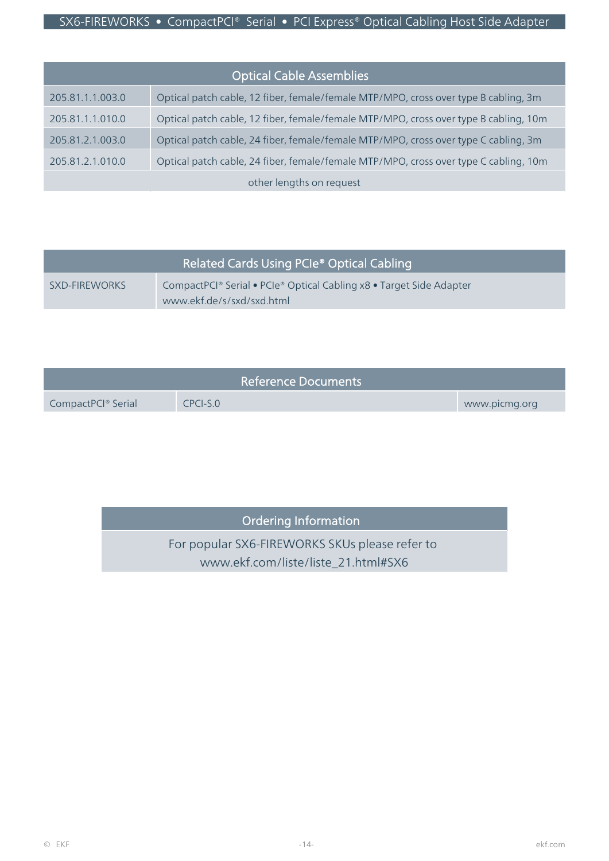| <b>Optical Cable Assemblies</b> |                                                                                      |  |  |  |
|---------------------------------|--------------------------------------------------------------------------------------|--|--|--|
| 205.81.1.1.003.0                | Optical patch cable, 12 fiber, female/female MTP/MPO, cross over type B cabling, 3m  |  |  |  |
| 205.81.1.1.010.0                | Optical patch cable, 12 fiber, female/female MTP/MPO, cross over type B cabling, 10m |  |  |  |
| 205.81.2.1.003.0                | Optical patch cable, 24 fiber, female/female MTP/MPO, cross over type C cabling, 3m  |  |  |  |
| 205.81.2.1.010.0                | Optical patch cable, 24 fiber, female/female MTP/MPO, cross over type C cabling, 10m |  |  |  |
|                                 | other lengths on request                                                             |  |  |  |

| Related Cards Using PCIe <sup>®</sup> Optical Cabling |                                                                                                  |  |  |  |  |
|-------------------------------------------------------|--------------------------------------------------------------------------------------------------|--|--|--|--|
| <b>SXD-FIREWORKS</b>                                  | CompactPCI® Serial • PCIe® Optical Cabling x8 • Target Side Adapter<br>www.ekf.de/s/sxd/sxd.html |  |  |  |  |

| Reference Documents            |          |               |  |  |  |
|--------------------------------|----------|---------------|--|--|--|
| CompactPCI <sup>®</sup> Serial | CPCI-S.O | www.picmg.org |  |  |  |

| <b>Ordering Information</b> |
|-----------------------------|
|                             |

For popular SX6-FIREWORKS SKUs please refer to www.ekf.com/liste/liste\_21.html#SX6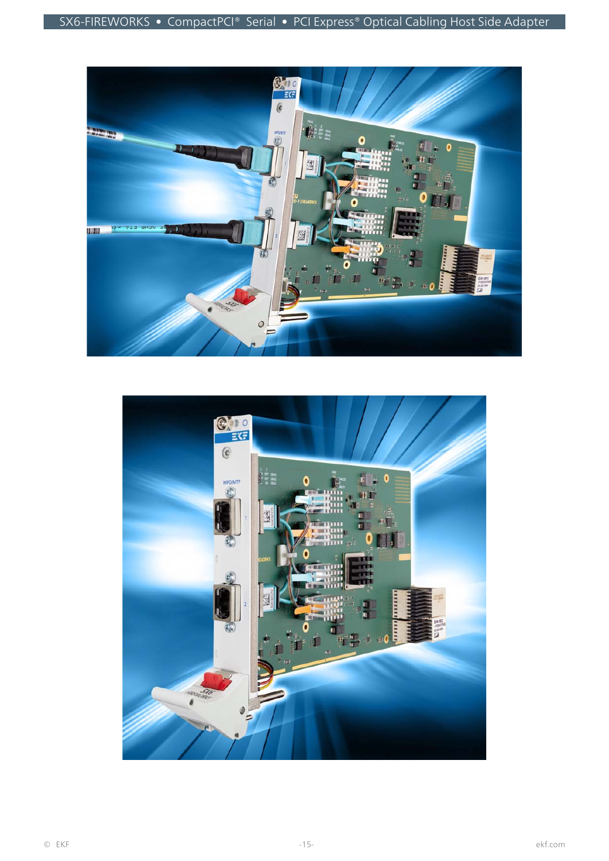